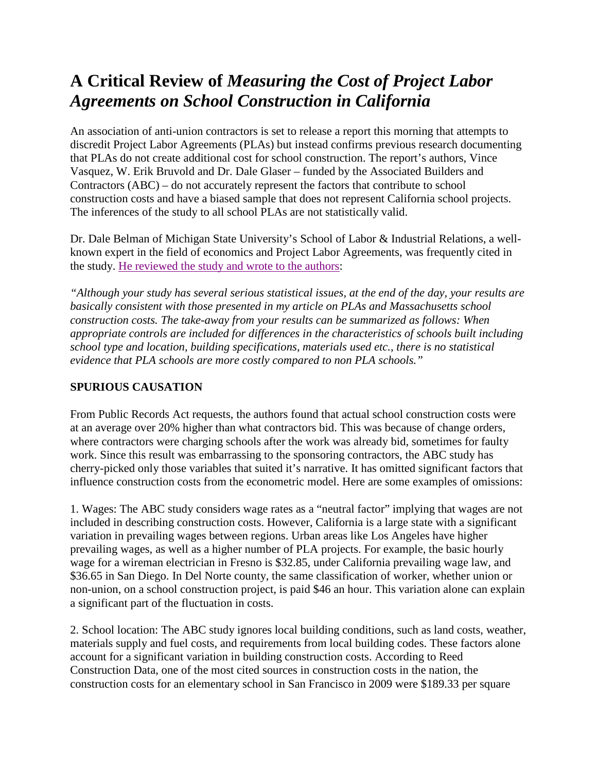# **A Critical Review of** *Measuring the Cost of Project Labor Agreements on School Construction in California*

An association of anti-union contractors is set to release a report this morning that attempts to discredit Project Labor Agreements (PLAs) but instead confirms previous research documenting that PLAs do not create additional cost for school construction. The report's authors, Vince Vasquez, W. Erik Bruvold and Dr. Dale Glaser – funded by the Associated Builders and Contractors (ABC) – do not accurately represent the factors that contribute to school construction costs and have a biased sample that does not represent California school projects. The inferences of the study to all school PLAs are not statistically valid.

Dr. Dale Belman of Michigan State University's School of Labor & Industrial Relations, a wellknown expert in the field of economics and Project Labor Agreements, was frequently cited in the study. [He reviewed the study and wrote to the authors:](http://bit.ly/r7prVF)

*"Although your study has several serious statistical issues, at the end of the day, your results are basically consistent with those presented in my article on PLAs and Massachusetts school construction costs. The take-away from your results can be summarized as follows: When appropriate controls are included for differences in the characteristics of schools built including school type and location, building specifications, materials used etc., there is no statistical evidence that PLA schools are more costly compared to non PLA schools."*

## **SPURIOUS CAUSATION**

From Public Records Act requests, the authors found that actual school construction costs were at an average over 20% higher than what contractors bid. This was because of change orders, where contractors were charging schools after the work was already bid, sometimes for faulty work. Since this result was embarrassing to the sponsoring contractors, the ABC study has cherry-picked only those variables that suited it's narrative. It has omitted significant factors that influence construction costs from the econometric model. Here are some examples of omissions:

1. Wages: The ABC study considers wage rates as a "neutral factor" implying that wages are not included in describing construction costs. However, California is a large state with a significant variation in prevailing wages between regions. Urban areas like Los Angeles have higher prevailing wages, as well as a higher number of PLA projects. For example, the basic hourly wage for a wireman electrician in Fresno is \$32.85, under California prevailing wage law, and \$36.65 in San Diego. In Del Norte county, the same classification of worker, whether union or non-union, on a school construction project, is paid \$46 an hour. This variation alone can explain a significant part of the fluctuation in costs.

2. School location: The ABC study ignores local building conditions, such as land costs, weather, materials supply and fuel costs, and requirements from local building codes. These factors alone account for a significant variation in building construction costs. According to Reed Construction Data, one of the most cited sources in construction costs in the nation, the construction costs for an elementary school in San Francisco in 2009 were \$189.33 per square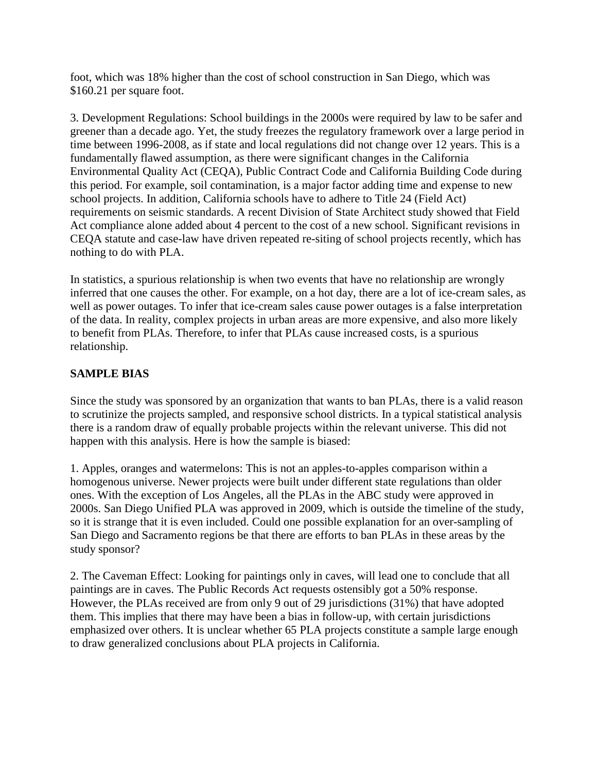foot, which was 18% higher than the cost of school construction in San Diego, which was \$160.21 per square foot.

3. Development Regulations: School buildings in the 2000s were required by law to be safer and greener than a decade ago. Yet, the study freezes the regulatory framework over a large period in time between 1996-2008, as if state and local regulations did not change over 12 years. This is a fundamentally flawed assumption, as there were significant changes in the California Environmental Quality Act (CEQA), Public Contract Code and California Building Code during this period. For example, soil contamination, is a major factor adding time and expense to new school projects. In addition, California schools have to adhere to Title 24 (Field Act) requirements on seismic standards. A recent Division of State Architect study showed that Field Act compliance alone added about 4 percent to the cost of a new school. Significant revisions in CEQA statute and case-law have driven repeated re-siting of school projects recently, which has nothing to do with PLA.

In statistics, a spurious relationship is when two events that have no relationship are wrongly inferred that one causes the other. For example, on a hot day, there are a lot of ice-cream sales, as well as power outages. To infer that ice-cream sales cause power outages is a false interpretation of the data. In reality, complex projects in urban areas are more expensive, and also more likely to benefit from PLAs. Therefore, to infer that PLAs cause increased costs, is a spurious relationship.

### **SAMPLE BIAS**

Since the study was sponsored by an organization that wants to ban PLAs, there is a valid reason to scrutinize the projects sampled, and responsive school districts. In a typical statistical analysis there is a random draw of equally probable projects within the relevant universe. This did not happen with this analysis. Here is how the sample is biased:

1. Apples, oranges and watermelons: This is not an apples-to-apples comparison within a homogenous universe. Newer projects were built under different state regulations than older ones. With the exception of Los Angeles, all the PLAs in the ABC study were approved in 2000s. San Diego Unified PLA was approved in 2009, which is outside the timeline of the study, so it is strange that it is even included. Could one possible explanation for an over-sampling of San Diego and Sacramento regions be that there are efforts to ban PLAs in these areas by the study sponsor?

2. The Caveman Effect: Looking for paintings only in caves, will lead one to conclude that all paintings are in caves. The Public Records Act requests ostensibly got a 50% response. However, the PLAs received are from only 9 out of 29 jurisdictions (31%) that have adopted them. This implies that there may have been a bias in follow-up, with certain jurisdictions emphasized over others. It is unclear whether 65 PLA projects constitute a sample large enough to draw generalized conclusions about PLA projects in California.